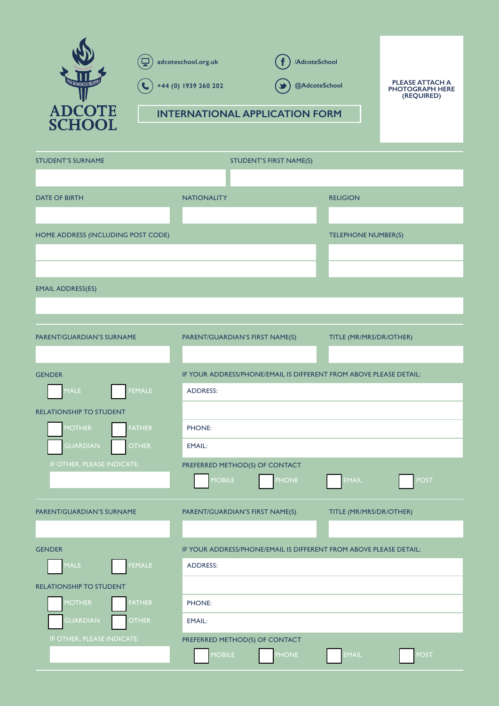

| <b>STUDENT'S SURNAME</b>           | STUDENT'S FIRST NAME(S)                                            |                             |  |
|------------------------------------|--------------------------------------------------------------------|-----------------------------|--|
|                                    |                                                                    |                             |  |
| <b>DATE OF BIRTH</b>               | <b>NATIONALITY</b>                                                 | <b>RELIGION</b>             |  |
|                                    |                                                                    |                             |  |
| HOME ADDRESS (INCLUDING POST CODE) |                                                                    | TELEPHONE NUMBER(S)         |  |
|                                    |                                                                    |                             |  |
|                                    |                                                                    |                             |  |
| <b>EMAIL ADDRESS(ES)</b>           |                                                                    |                             |  |
|                                    |                                                                    |                             |  |
|                                    |                                                                    |                             |  |
| PARENT/GUARDIAN'S SURNAME          | PARENT/GUARDIAN'S FIRST NAME(S)                                    | TITLE (MR/MRS/DR/OTHER)     |  |
|                                    |                                                                    |                             |  |
| <b>GENDER</b>                      | IF YOUR ADDRESS/PHONE/EMAIL IS DIFFERENT FROM ABOVE PLEASE DETAIL: |                             |  |
| MALE<br><b>FEMALE</b>              | <b>ADDRESS:</b>                                                    |                             |  |
| <b>RELATIONSHIP TO STUDENT</b>     |                                                                    |                             |  |
| <b>FATHER</b><br><b>MOTHER</b>     | PHONE:                                                             |                             |  |
| <b>GUARDIAN</b><br><b>OTHER</b>    | <b>EMAIL:</b>                                                      |                             |  |
| IF OTHER, PLEASE INDICATE:         | PREFERRED METHOD(S) OF CONTACT                                     |                             |  |
|                                    | <b>MOBILE</b><br><b>PHONE</b>                                      | <b>EMAIL</b><br><b>POST</b> |  |
| PARENT/GUARDIAN'S SURNAME          | PARENT/GUARDIAN'S FIRST NAME(S)                                    | TITLE (MR/MRS/DR/OTHER)     |  |
|                                    |                                                                    |                             |  |
| <b>GENDER</b>                      | IF YOUR ADDRESS/PHONE/EMAIL IS DIFFERENT FROM ABOVE PLEASE DETAIL: |                             |  |
| MALE<br>FEMALE                     | <b>ADDRESS:</b>                                                    |                             |  |
| <b>RELATIONSHIP TO STUDENT</b>     |                                                                    |                             |  |
| <b>MOTHER</b><br><b>FATHER</b>     | PHONE:                                                             |                             |  |
| <b>GUARDIAN</b><br><b>OTHER</b>    | <b>EMAIL:</b>                                                      |                             |  |
| IF OTHER, PLEASE INDICATE:         | PREFERRED METHOD(S) OF CONTACT                                     |                             |  |
|                                    | <b>MOBILE</b><br><b>PHONE</b>                                      | <b>EMAIL</b><br><b>POST</b> |  |